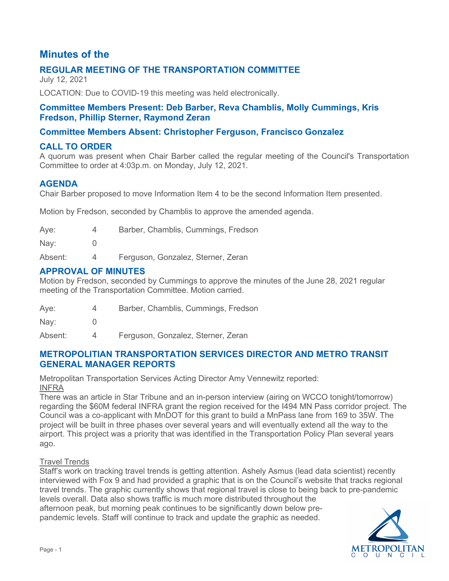# **Minutes of the**

# **REGULAR MEETING OF THE TRANSPORTATION COMMITTEE**

July 12, 2021

LOCATION: Due to COVID-19 this meeting was held electronically.

### **Committee Members Present: Deb Barber, Reva Chamblis, Molly Cummings, Kris Fredson, Phillip Sterner, Raymond Zeran**

# **Committee Members Absent: Christopher Ferguson, Francisco Gonzalez**

# **CALL TO ORDER**

A quorum was present when Chair Barber called the regular meeting of the Council's Transportation Committee to order at 4:03p.m. on Monday, July 12, 2021.

### **AGENDA**

Chair Barber proposed to move Information Item 4 to be the second Information Item presented.

Motion by Fredson, seconded by Chamblis to approve the amended agenda.

| Aye:    |   | Barber, Chamblis, Cummings, Fredson |
|---------|---|-------------------------------------|
| Nay:    |   |                                     |
| Absent: | 4 | Ferguson, Gonzalez, Sterner, Zeran  |

# **APPROVAL OF MINUTES**

Motion by Fredson, seconded by Cummings to approve the minutes of the June 28, 2021 regular meeting of the Transportation Committee. Motion carried.

| Aye: |  | Barber, Chamblis, Cummings, Fredson |  |
|------|--|-------------------------------------|--|
|      |  |                                     |  |

Nay: 0

Absent: 4 Ferguson, Gonzalez, Sterner, Zeran

### **METROPOLITIAN TRANSPORTATION SERVICES DIRECTOR AND METRO TRANSIT GENERAL MANAGER REPORTS**

Metropolitan Transportation Services Acting Director Amy Vennewitz reported: INFRA

There was an article in Star Tribune and an in-person interview (airing on WCCO tonight/tomorrow) regarding the \$60M federal INFRA grant the region received for the I494 MN Pass corridor project. The Council was a co-applicant with MnDOT for this grant to build a MnPass lane from 169 to 35W. The project will be built in three phases over several years and will eventually extend all the way to the airport. This project was a priority that was identified in the Transportation Policy Plan several years ago.

#### Travel Trends

Staff's work on tracking travel trends is getting attention. Ashely Asmus (lead data scientist) recently interviewed with Fox 9 and had provided a graphic that is on the Council's website that tracks regional travel trends. The graphic currently shows that regional travel is close to being back to pre-pandemic levels overall. Data also shows traffic is much more distributed throughout the afternoon peak, but morning peak continues to be significantly down below pre-

pandemic levels. Staff will continue to track and update the graphic as needed.

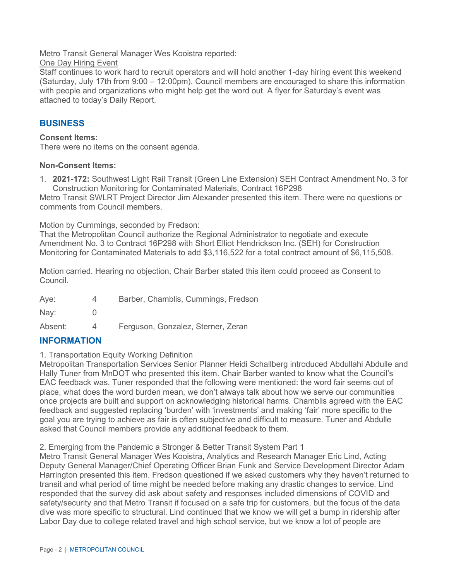Metro Transit General Manager Wes Kooistra reported:

**One Day Hiring Event** 

Staff continues to work hard to recruit operators and will hold another 1-day hiring event this weekend (Saturday, July 17th from 9:00 – 12:00pm). Council members are encouraged to share this information with people and organizations who might help get the word out. A flyer for Saturday's event was attached to today's Daily Report.

# **BUSINESS**

#### **Consent Items:**

There were no items on the consent agenda.

#### **Non-Consent Items:**

1. **2021-172:** Southwest Light Rail Transit (Green Line Extension) SEH Contract Amendment No. 3 for Construction Monitoring for Contaminated Materials, Contract 16P298

Metro Transit SWLRT Project Director Jim Alexander presented this item. There were no questions or comments from Council members.

Motion by Cummings, seconded by Fredson:

That the Metropolitan Council authorize the Regional Administrator to negotiate and execute Amendment No. 3 to Contract 16P298 with Short Elliot Hendrickson Inc. (SEH) for Construction Monitoring for Contaminated Materials to add \$3,116,522 for a total contract amount of \$6,115,508.

Motion carried. Hearing no objection, Chair Barber stated this item could proceed as Consent to Council.

| Aye:          | Barber, Chamblis, Cummings, Fredson |
|---------------|-------------------------------------|
| $\text{Nav:}$ |                                     |
| Absent:       | Ferguson, Gonzalez, Sterner, Zeran  |

### **INFORMATION**

1. Transportation Equity Working Definition

Metropolitan Transportation Services Senior Planner Heidi Schallberg introduced Abdullahi Abdulle and Hally Tuner from MnDOT who presented this item. Chair Barber wanted to know what the Council's EAC feedback was. Tuner responded that the following were mentioned: the word fair seems out of place, what does the word burden mean, we don't always talk about how we serve our communities once projects are built and support on acknowledging historical harms. Chamblis agreed with the EAC feedback and suggested replacing 'burden' with 'investments' and making 'fair' more specific to the goal you are trying to achieve as fair is often subjective and difficult to measure. Tuner and Abdulle asked that Council members provide any additional feedback to them.

2. Emerging from the Pandemic a Stronger & Better Transit System Part 1

Metro Transit General Manager Wes Kooistra, Analytics and Research Manager Eric Lind, Acting Deputy General Manager/Chief Operating Officer Brian Funk and Service Development Director Adam Harrington presented this item. Fredson questioned if we asked customers why they haven't returned to transit and what period of time might be needed before making any drastic changes to service. Lind responded that the survey did ask about safety and responses included dimensions of COVID and safety/security and that Metro Transit if focused on a safe trip for customers, but the focus of the data dive was more specific to structural. Lind continued that we know we will get a bump in ridership after Labor Day due to college related travel and high school service, but we know a lot of people are